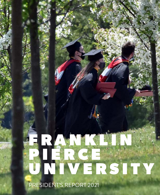# F R A N K A N N P I E R C E UNIVERSITY

PRESIDENT'S REPORT 2021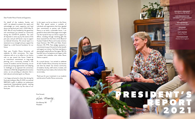**UNIVERSITY PRESIDENT** Kim Mooney '83, Ph.D.

**VICE PRESIDENT FOR UNIVERSITY ADVANCEMENT** Julie Zahn

> **EDITOR/WRITER** Kathryn Grosso Gann

> > **DESIGNER** Jules Kleinhans

**COPY EDITOR** Heather Petro

**PHOTOGRAPHER** Andrew Cunningham

2021

On behalf of the students, faculty, and staff, I am pleased to present this report and acknowledge our many supportive and loyal donors during fiscal year June 1, 2020-May 31, 2021. We are truly humbled by the generosity and commitment you showed our community during the COVID-19 pandemic. You were all impacted in some way by the events of the past year, and yet still found a way to support our beloved University. This annual report is a testament to our strength and your support has helped lay a solid financial foundation for our future.

Next year, Franklin Pierce University will celebrate its 60th anniversary. This major milestone calls on us to reflect on our history with an eye toward the future. Fueled by an institutional commitment to long-range planning, and a community invested in the success of students and the University, we are proactively pursing opportunities and adapting to challenges as we approach this anniversary milestone in 2022. By taking bold and innovative action, we are providing an education that is both relevant and enduring for our Ravens.

I am happy and proud to share that during the fiscal year ending on May 31, 2021, we received \$987,620 in gifts. In addition, our endowment experienced unprecedented growth, reaching more than \$22.5 million by the close of our fiscal year.

Kim Mooney '83 President



In this report, we list our donors in the Honor Roll. That special section is symbolic of individuals and organizations that have signaled their commitment to partner with Franklin Pierce as we build a sustainable future. I am grateful to share within these pages more insight into the myriad of ways our donors support our efforts, including through matching gifts like those received from the Chair of the Board of Trustees Frederick Pierce and trustee emeritus Lloyd Astmann '69, P'95 and Helen Ament Astmann '69, P'95. Their pledge represents a commitment to pay it forward to further benefit and support our mission. You'll also read about a planned gift made by Bruce Harrington '88. His heartfelt story of acceptance and support while a student here embodies what makes Raven Nation so special.

As a proud alumna, I am excited to celebrate all that Franklin Pierce University has become and what lies ahead. Our diverse community of students, faculty, staff, alumni, trustees, and friends like you have made us the institution that we are today.

Thank you for your investment in our students and the entire Franklin Pierce community.

## Dear Franklin Pierce Friends and Supporters,

Ever forward,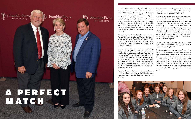

As his family's unofficial genealogist, Fred Pierce was surprised to discover that he was a distant relative of our nation's 14th president. More surprising was that across the country from his home in California was a private, liberal arts university that shared the same name. With a professional background in education-based real estate and housing, Pierce was intrigued. "I have a lot of experience with higher education. I had a lot of experience with academic fundraising, and I also realize the challenges that small, private universities are facing," said Pierce, "Out of the blue, I picked up the phone and contacted the University."

So began a relationship with the University that now has Pierce as Chairman of its Board of Trustees. But even as a recent addition to the Franklin Pierce University family, he understands the value of what the school has to offer. "I'm proud of who we are and where we are going and the students that we serve."

The evolution of Franklin Pierce University is something trustee emeritus Lloyd Astmann '69, P'95 can attest to as well. The first graduate to serve as Board Chair, Astmann has been part of the school's story practically since its founding. "Going back, Franklin Pierce has just been part of my life. My wife, Helen Ament Astmann '69, P'95 is a graduate, my brother is a graduate, and my daughter is a graduate," Astmann reflected. "Through the ups and downs of all those years, it's just been the most important organization in our lives."



Together, Pierce and the Astmann's have joined forces to bolster philanthropic giving at the University, most recently with a combined matching gift for the annual Day of Giving.

Astmann notes that matching gifts help inspire donors, providing another incentive for them. "It means their gift will be more meaningful. It's an effective tool."

To Fred Pierce, the obligation to pay it forward was a key reason for the matching gift. "Higher education was my personal gateway to opportunity, and I really feel compelled to provide that same opportunity to today's youth." He points toward the factors that make Franklin Pierce University an institution worthy of continued support, including student demographics and diversity. "We have a high number of first-generation college students, and students from diverse socio-economic backgrounds," he says. "Being able to expand opportunities to them is something of which I'm proud."

"Franklin Pierce provided me with opportunities that I did not see before," adds Astmann. "It was geared toward my success, not toward my failure."

That focus on student outcomes is what President Kim Mooney '83 hopes other donors will see as a reason to support the University. "The entire University thrives when we empower students to reach their full potential," she shares. "One of the goals of our strategic plan, *Pierce@60*, calls us to shift the trajectory of the University's tuition dependence through a renewed focus on building University Advancement revenue. The efforts of donors like Fred, Lloyd, and Helen go right to the heart of that goal."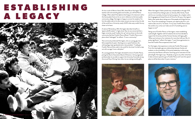

An hour south of Mercer Island, WA, where Bruce Harrington '88 teaches sixth and seventh grade social studies, you will find Pierce College. Often asked if the diploma that hangs on his classroom wall or the license plate frame on his car are in reference to the local, public community college, Harrington is happy to correct his students. For him the subtle nods to his alma mater are just one way to show his side of the world how a University nearly 3,000 miles away couldn't be any closer to his heart.

A native of Shrewsbury, MA, Harrington describes himself as a "good, solid B student" in high school. Shy, he was concerned that a larger university would "swallow him up" and was drawn to the small, community feel that Franklin Pierce offered. "Franklin Pierce was a place where I belonged," he reflects. "It was a community."

That community embraced Harrington, who as a young, gay man, felt accepted by his peers. Starting out as a quiet freshman, the anthropology major graduated senior class president. "I really give When Harrington's father passed away unexpectedly at the age of 59, he saw firsthand how failing to plan can directly affect family. Faced with his own mortality, he knew he had to prepare. As a chaplain within the Congregational United Church of Christ for 20 years, Harrington's father often spoke about taking care of the people and things that you love. "If you love something or someone, you need to plan for it, you need to take care of it," he shares. "In my case, Franklin Pierce means the world to me, so how can I take care of it if something were to happen to me?"

Franklin Pierce all the credit in the world for the times I've had to step out with courage. It was a safe place." As a young graduate, Harrington donated his time to Franklin Pierce, joining the Alumni Association Board of Directors. As he progressed professionally, he was able to support the University financially during the annual Day of Giving. Soon after, he was making monthly gifts. For Harrington, that experience is what sets Franklin Pierce apart. From the meaningful, genuine relationships between faculty and students, to the accessibility of University leadership, to the strong community that Ravens call home. Summing up his motivation for the planned gift, Harrington says, "Anybody can go to any other school but it takes someone special to go to Franklin Pierce and I want this special place to still be there when I'm just a memory."



Taking care of Franklin Pierce, to Harrington, meant establishing a planned gift. Together with his husband, the two have decided to support the University and the Humane Society with legacy gifts. "When you've known of an institution for more than half your life, it's pretty significant," reflects Harrington. "I want future generations to have the Franklin Pierce experience that I had."



# ESTABLISHING A LEGACY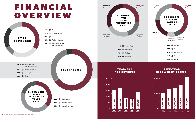

# F I V E - Y E A R ENDOWMENT GROWTH



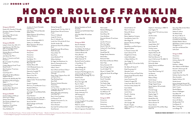+ Member of the Board of Trustees # Former member of the Board of Trustees ^ Member of the Alumni Association Board of Directors @ Individuals who are now deceased  $\sim$  In acknowledgment of giving for 10 consecutive years or more Hon. indicative of an honorary degree



## 2021 DONOR LIST

### Giving over \$50,000

Estate of Dr. Dorothy F. Donnelly Grimshaw-Gudewicz Charitable Foundation ~ Harry Meyer '68 and Linda MacLean Meyer State of New Hampshire ~

Genevieve M. McGillicuddy '94 + Kim Mooney '83 and Gregory Walsh  $+\sim$ 

### Giving over \$10,000

Leslye A. Arsht, Hon. DHL '07 + Lloyd Astmann '69, P'95, Hon. DHL '13 and Helen Ament Astmann '69, P'95 +~

Jonathan A. French Charitable Lead Unitrust Sally Nestor P'04 and Alexander Nestor P'04 ~ Robert Patterson '69 and Nancy Voltmer Patterson # Anne Perry Sarah J. Schiermeyer MSN '12 Sodexo, Inc. & Affiliates Blaine Thompson '69 and Lori Latimer Thompson ~

Nicholas Bisaccia and Pamela O'Neil Bisaccia ~

John Burke '66, P'94 +~

Steven V. Camerino and Sarah Knowlton +

Bruce Crockett '71 and Diane Crockett

Carleen Albonizio Farrell '71 and Daniel Farrell +~

Mark Goodman '71 and June Goodman ~

Carol Houle '97 +

Alfred Marulli '69 and Barbara Singleton Marulli +

Frederick W. Pierce, IV and Christine Pierce +

Jonathan Slavin '92 and Lori

Weinstein Slavin '92 +~

## Giving over \$5,000

Charles Callahan, III '80 and Donna Lynn Callahan Zachary Gianaris '89 The Charles and Mabel P. Jost Foundation, Inc. ~ Harold Levy '70 and Anne Lieberman Levy@ ~ Harry McMahon '67

## Giving over \$1,000

Anonymous Anonymous Anonymous Dan Becker '70 ~ Hazel Blyzinskyj and John Blyzinskyj P'21 Kathleen Brown '84 C & S Wholesale Grocers, Inc. Dennis Callahan '80 Glenorchy Campbell '79 Robert J. Carr P '19 Derica Carty '99 + CBS Mechanical, Inc. Andrew Cohen '73 and Jane Rubin Cohen Gerald J. Copeland Phil Curry '71 and Maureen Curry ~ Elizabeth DiPietro + Raymond Eaton '90 James Egan '72 and Mildred Kafka Egan '72 Caryl Felicetta + Marlin Fitzwater, Hon. DHL '98 and Melinda Andrews Fitzwater +~ Stuart Fried '69 ~ Mark Fryberger and Amanda Fryberger Peter Fuchs P '93 and Ricki Fuchs P '93 ~

Michael Gering '84 Temple Grandin '70, Hon. DHL '12 Richard Green '69 and Christine Frank ~ Nancy E. Hadley @ Joseph M. Herman Ross H. Hollander '69 Lynda Hunt '04 and John B. Hunt Jennifer Jacobus '86 Jill Astmann Karol '95 and Robert Karol Randell Kennedy '85 and Nancy Rohlfs Kennedy Henry Kiellar '70 Steve Kress James Markland P '22 William McAlister M. Eagles Tool Warehouse, Inc. Moura's Cleaning Service Inc. Crystal Neuhauser Helen F. Norris Sean O'Kane and Teresa O'Kane + Laura Ostrander and Alan **Ostrander** Diane "Dinny" Najarian Parvin '69 and Denis Parvin Pepsi Bottling Group Mark Pfaff Physician Assistant Education Association Andrew Pollom Vicky Rank '02, '05, MBA '12, P '14 and Madison Rank '14 ~ Robert Riley '82 and Kimberley Lewis Riley '83 +~ Roy A. Hunt Foundation Lisa Rumsey P '24 Seppala Construction Co., Inc. Kevin Shirvell '01 ~ Donna Shooster Dan Snell '67 and Donna Snell David Starrett

Michael Stockdale and Terrell Stockdale The Shattuck Golf & Dublin Road Taproom Amy Fales Walsh '90 and Sean Walsh Thomas Zaluki '86

## Giving over \$500

Maria R. Altobello ~ Thomas Arisco '18 Scott Babitts '73, P '09 and Katherine Babitts P '09 ^~ Catherine Baratta '83 Nancy Bennett Frederick Berger '76 ~ William Bucknall '74 Bucknall Family Foundation J. David Butner '70 ~ Les Cooper '71 John DePledge '82 ~ William Duerig '73 Enterprise Fleet Management, Inc. Jackie Everidge '90, P '21 and Kimberly Saucier Everidge '92, P '21 David Faucher Kathryn J. Fenoff Bruce Harrington '88 Ryan G. Helton James Hendsey '70 Impact Fire Services, LLC Kristen Jaccodine '97 Evelyn Jankousky P '16 JDK Striping LLC Susan Keeling Andrew D. Klaus Carolyn Knoepfler P '21 and Mark Knoepfler P '21 Robert E. Laurent Lounsbury Wealth Management Marian Craig Leers Charitable Trust

Mark Lubold Markland Welding, Inc. Joshua Martin David Masse '83 Owen McAlister Dominick Miciotta '91 and Jason Smith Jennifer O'Connor Mary Kay Ogden Muriel O'Neil '66 ~ Catherine R. Owen Koning ~ Derek Paul Harold Pyke '82 Rindge Faculty Federation Edward Ross Richard D. Roth Brian Rusk and Maureen Millane Salon 9 Spa Danny Sansevieri '69 Secure Energy Solutions Cara M. Selby P '22 Warren H. Shadek P '82 Jeffrey Karl Smith '81 and Roger Egli Brent Steinberg '10 David F. Stockdale Linda Stokman The Graphic Edge Cathryn C. Thermer Jared Toman True Fleece N.A. LLC Tara Wilkinson '97 Stephen Young '89 Giving over \$250 Anonymous

Anonymous Anonymous Lawrence Abramson '75 AmazonSmile Foundation

Daniel Anderson '01 Peter A. Arsenault Richard W. Barnes Keith Beck Boston Appliance Company Terrell Boston-Smith '05 + Marc Bragin '91 Rachel D. Burleson & Megan Burleson Gerald Burns and Ruth Arjona ~ Marjorie Callahan G. Thomas Cameron '85 Scott Cullinane P '19 Dangelantonio Family Jordan DeGrandpre J. Robert Dell'Anno '70 John Dodge '72 Nancy Duffy P '20 and John Duffy P '20 Ms. Melissa B. Dymek '11 Eltab Processing, LLC Alexander Farina Alta Anne Farley and Floyd Farley Thomas Farrell '83 and Ann Marie Ziroli Farrell # James Fitzsimmons '87 Frederick Forsgard '85 Cindy Freda '08, P '08, P '12 Anmarie Linskey Gaalaas '90 Susan Gallant Beverly A. Gallant Juanita Garza Russell L. Gaskamp Frank Godek Franklin Goforth '91 Laura Grater John Guregian '88 Russell J. Hayden William Heffernan '77 and Renee Heffernan

Stephen C. Hennessey, Jr. MBA '15 Isaac Hughes '70 Stacy James P '20 and Larry James  $P'20$ Jennifer Jordan Linda Joyce Ed Joyce Taylor Kelly '22 Joseph Koletar '83 ^ Gary Kroeber '81 Timothy Lawton Ann L'Estrange '84 Stephen MacCrea '81 Gloria J. MacDougall Dale Fazio Marcovitz '72 Jason E. McCormack '95, MBA '13 M C S Industries, Inc. Richard M. Mello Kristen Nevious and William Nevious Steven Nungesser Ocean Wave Cleaning, LLC Jay Peacock John Perry '92 Rebecca Phelps Sandra Quaye ~ Ravens Soccer Academy Rindge Original Group Steven Sabatino '69 and Judith Sabatino Amanda Savage Brian Schulz '94 Stephen Segal '71 Robert C. Sellars Randall Shaw '83 Devin Sheehan '05 Patricia Shuster '91 Sharon Skinner Kenneth Smith '90 and Ellen Mayo Smith '92

Kerry Stein '80 and Jean Marie Jackson Stein # Nathan D. Sullivan The Walsh Family Ms. Amy E. Werner '11 The Werner Fund of the Foundation for MetroWest Elizabeth Wettlin-Macina WLM Work-A-Holics Landscape Management, Inc. Julie Zahn and Michael Zahn Letha Zook

#### Giving over \$100

Anonymous Anonymous Anthony Abatino '69 Craig Abbott Kathleen L. Abbott Alicia Abbott and Will Abbott Kenneth S. Abramczyk '69 Anthony Albanese '74 Joseph Alessi '69 Kathleen Gearhart Aluia '93 Mary Amendola Stephen Anthony '00 Nicole Arorash Karissa Hookstadt Atwood '09, MBA '15 and Thomas Atwood '09 Keith F. Austin Rosalind Babrow Sharon A. Baillargeon Gary Baker '69 Michelle Baldwin P '21 Thomas Barber Aninna M. Batista Mia Baxendale P '22 Ford Beattie '91 Beau's Trucking, Inc. Lorrie Berger '92

# HONOR ROLL OF F R A N K L I N PIERCE UNIVERSITY DONORS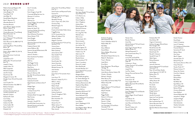# 2021 DONOR LIST

+ Member of the Board of Trustees # Former member of the Board of Trustees ^ Member of the Alumni Association Board of Directors @ Individuals who are now deceased ~ In acknowledgment of giving for 10 consecutive years or more Hon. indicative of an honorary degree

Roberta Szewczyk Bergeron '82 Big Frog Custom T-Shirts James Bingham '16 Tracy Blake P '23 John Blake '18 Gerald Robert Boardman Kyle C. Boarman '19 Alexander Bonitto '17 Kourtney Bonsaint Joann Bottoni-Jepsen and John Bottoni-Jepsen P<sup>'</sup>14 J. Kevin Boylan '66 Charles Braunstein '71 and Wendy Biener Braunstein '72 Dana C. Brewster Carl T. Brezovec P '10 and Michele Brezovec P '10 Dawn Broussard '13, MBA '18, P '15 Andrew Brown Janet Hong Brown '78 and Jeffrey Brown '78 Jennie Brown Karen J. Brown MBA '05, DA '14, P '08, P '13 Edward Brummer, II and Linda Brummer Joseph Bruno '67 ~ William Burt '70 and Carla Greif Burt '73 Joseph R. Caban Joseph Cafaro '70 Mike Campanale Michael Campbell Joan M. Campo David Caron '83 Margaret A. Carson '78 Douglas Carty '06 and Chauntelle **Carty** Laura Cavallo '73 ~ Michael Chambers '06, MBA '12 Barbara Champion Susan Chapman Charleen Charette P '16 and Timothy Charette P '16 Maureen Cimbron Katherine M. Clark Cora Clukey Coastal Riptide Andrew Coe '80 Carlos Coelho '86 Bryan Colella '14 ^ Elizabeth Coll

Ann F. Connolly Jim Connor Karen Gregory Coyle '84 Crossroads Billing Services, Inc. Maureen A. Cummins Erica Cutter Whitney Cyr Clinton Daggan '04 and Kristin Stoll Daggan<sup>'04</sup> Deborah M. Daly Kaitlyn M. Daly P '22 Francesco Daniele '93 and Amy Mongold Daniele '94 Davis & Stanton Promotions Donna Decker P '09 Sarah Dengler Frank DePalma Genevieve Desmond '66 and John Desmond '66 ~ Frederick Dietrich '68 James DiMarino '86 Suzanne Herwig DiPietrantonio '86 Thomas W. Dolan James E. Donelan ~ Down Syndrome Foundation Amy Drinan DTS Tire The Duggan Family Bradley Dumais '15 Pete Durso E.W. Birch Builders & Construction, Inc. Bruce A. Elichman '68 Eric Ellis '06 and Gerene Selmer Ellis '06 Zachary Emerson Sudarshan Erramilli ~ Phyllis Kessler and Dennis Estis P  $'07 -$ Bridget Fagan Aimee Fagan J. Forbes Farmer P '10 Tammy Farrell Kimberly Muller Farrington '83 Pete Favreau Keith Felton Amanda L. Fenoff P '21 Fenoff & Hale Construction, Inc. Kenneth Ferreira and Jennifer Ferreira M.Ed '07

Arthur Fink '72 and Marcy Pollock Fink '73  $\sim$ Sarah Fischer and Raymond Fischer Suzanne Fix Judy Fleming P '13 and Gregory Fleming, Sr. P'13 Marybeth Fleming Chris J. Flynn, Hon. DHL '05 # Christina Foley Michael Frappier '15 Jon Frederick Friends of the Dublin Public Library Frogg Brewing G.T.N. Construction, Inc. William R. Gallant P '23 Jonathan Garbar Abigail K. Garnhart Kimberley Garnhart P '20 and Troy Garnhart P '20 Victoria Garza Justine Gaskamp Robin Gaskamp James German '85 Dean Godek P '23 Scott Graham Lorna Graham David Groder '66 ~ Jessica Guerrette Lynne A. Gumbris Michele Gunness '76 Julie Harahan Jack Harris Susan Harris P '21 and John Harris P '21 Louis Harris '73 Richard F. Haskell '75, P '11 ~ Willow L. Henry Corey Hill '88 Robert Hoefs Martha Holland '09 Jon Holmes '17 Andrea Hottleman Owen R. Houghton P '89 ~ David Houston Brian Hovendon '79 Frank Hubacz Denise Hunt '17 Walter Jackson '71 Jaffrey-Rindge Rotary Peter Jasinski

Erin L. Jeremie Thomas Joyce Jean Joyce-Brady P '12 and Martin Joyce-Brady P<sup>'12</sup> K. A. Electric, Inc. Coleen J. Kelly Deana Kingsbury Jean J. Kingsbury Andrew Klaus Philip Krajewski '88 ~ Michael W. Kremer Diane E. Lamont Eric Lang '90, P '18 Melinda Lanzo Mark Larosa Clifford Lattin '69 ~ Norma Leandro John Learson '02 Aric LeClair '09 Elsabet Legesse '73 Michael Levitt '21 @ Frederic Levy '74 Adam Lewis '91 Dawn Lindstrom Rosalind Llanos Pete Lounsbury P '21 Susan J. Lounsbury Patricia N. Lubold Brian MacDonald Amanda MacGee '03 ^ Nancy Madrid P '15 and John Madrid P '15  $\sim$ Margaret Maher Maria Maillo de aguilera Dr. Sandra Maliangos '14 Christopher D. Manley Anthony Mastromarino '86 Stephanie Mayo Berkio Daniel A. Mcaleese Barbara McCuin Jacqueline McDunnah '03 ^ Robert M. McGeough Teresa McGrath P '23 Janice McKenzie P '15 and David McKenzie P '15 Laura Meara John S. Meddaugh, III '03 Diann Mellott Amy Brigham Melvin '88 and Michael Melvin '88



Kimberly Houghton Memmesheimer '89 Tracy A. Mendham M.Ed '12 Robert Miller '81 ~ Kelli Miller Shaun Millerick Daniel Milton Sherry Mobley '98 and Jack Mobley '02 Monadnock Disposal Service, Inc. Robert E. Monkiewicz Tracy L. Mooney Josee Morin Erica Morin Karen Mortensen '78 and Royce Vehslage '78 Pierre V. Morton Lolita Morton Morton Godwin '85 Charles J. Murphy Michael J. Murphy Peter Murray '18 Susan Nally and Thomas Nally P '20 William Naser '89 Julie Natale Pegeen Newman P '21 and Edward Newman P '21 Kelly R. Nicholls Todd Niemi Peggy Noddin Sharon A. O'Connor Albert Olszewski Patrick J. O'Neil Filomena Orlando Lori Ostrander P '22 and Kevin Ostrander P '22 Suzanne P. Ostrander

Noreen Otto Brendan Pacheco Anita Pale Michele Pantera P '22 and Vincent Pantera P<sup>'22</sup> Erika Goguen Paradis '99 and William Paradis '01 Michael Pasquarelli '71 Jane Czachorowski Perry '71 ~ Pine Springs Lorissa Plis and Geoff Plis John Popp '68 and Ellen Ahern Popp '69 Constance L. Porter Colleen Prentiss P '20 and Mark Prentiss P '20 Joseph Prior Lisa Prior-Stokes Noreen Prive and Norman Prive Lisa Prive Linda P. Quimby Emily Quinn '18 Tracy Langlois Rader '97 William Raymond '69 and Martha Raymond Mark Rinaldi Shelby J. Robertson Susan Rodrigues P '21 and Eduardo Rodrigues P<sup>7</sup>21 Helene Rogers '16 and Frederick Rogers Liana Roman '16 Frank G. Romano Jenni Ross and Andrew Ross Paul Ross Round II Timber, LLC. Kenneth Rubin '86

Kimberly Ruth '09 David Salvas '89 Virginia S. Santamaria Anthony Savageau '86 and Karen Rose Savageau<sup>785</sup> Ronald Savarese '66 Rachel Sayward '18 ^ Derek Scalia '05 Ronald C. Schwarm Gerald W. Scott '71 Welch Sejour Richard Senatore Jack Sheline Janice M. Sherman Victoria Sherwood P '21 and David Sherwood P '21 Peter '69 and Eileen Shulkin Joshua Sigsworth '07, DPT '10 Barbara Silva '79 Cheryl Silva Susan S. Silverman Jeffrey Skwiot '69 Mary Jane Smith Kris Smith Maria Snow Michael Sosik Breigh Souliere '17 Wendy Spoto Jennifer St Laurent State Line Truck Services Allan Stegeman '71 Roni Lowenthal Stein '77 Sharon Bornstein Stein '71 Carolyn M. Stockman Marietta Albonizio Stone Anastas '75

Studio Cheveux David Styles Caitlin N. Sweeney Laura H. Sweeney T.H. Hottleman & Associates Financial Advisors Samaritana R. Tainsh Barbara Tallent Gina Tanoy Wes D. Tappan Amanda Taylor '01 Richard Tharp '15 The Country Store on Main, LLC Cheryl Theriault Nicolas Thistle '13 ^ Patience Turkson '17 Stacey Van Houten Carol Ann Viebrock David Walsh Richard Ward Blair Watts Keil White '82 Kyle Williams '09 Charles Willoughby Barbara Wilson Christina Witkowicki Susan Wolford Howard Wolhandler '69 Jacqueline F. Wright Josephine Wright John Yeamen '71 Areti Zacharakis Heather Zacharakis Karin E. Zalzal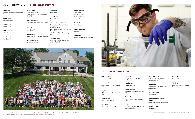+ Member of the Board of Trustees # Former member of the Board of Trustees ^ Member of the Alumni Association Board of Directors @ Individuals who are now deceased ~ In acknowledgment of giving for 10 consecutive years or more Hon. indicative of an honorary degree



**9/11 Remembrance** Kevin Shirvell '01

**Jacob H. Abbott** Alicia Abbott P '11 and Will Abbott P '11

**Lloyd H. Astmann** Jill Astmann Karol '95 and Robert Karol

**David T. Wilson '77**  John T. Burke '66 P '94

**Class of 1989** Kimberly Cook Neher '89

**Class of 2021** Tracy A. Mendham M.Ed '12

**Kiera Duggan** The Duggan Family

**Gregory K. Fuchs** Peter Fuchs P '93 and Ricki Fuchs P '93

**Frank P. Green** Richard Green '69 and Christine Frank

**Emily Kramer** Vicky Rank '02, '05, MBA '12 and Madison Rank '14

**Michael I. Levitt '21 @** Vicky Rank '02, '05, MBA '12 and Madison Rank '14

**Joleen I. Little** Vicky Rank '02, '05, MBA '12 and Madison Rank '14

**Crystal Neuhauser** John Morgan

**Patricia Platten and Robet M. Platten** Marian Craig Leers Charitable Trust

**Samuel J. Slotnick** Jamie Slotnick

**Woman's Rowing Team** Amanda Kelly

**Julie Zahn** Susannah L. Batchelder '13, MBA '14

# 2021 IN HONOR OF

# 2021 TRIBUTE GIFTS IN MEMORY OF

**Robert Alvin** Kimberly Houghton Memmesheimer '89

**John J. Botta** Maria R. Altobello

**Steven R. Carr** Robert J. Carr

**William J. Cavadi** Michael Pasquarelli '71

**Joseph Contino** Lisa Contino '84 **John H. Eason** Terrell Boston-Smith '05 Jonathan Slavin '92 and Lori Weinstein Slavin '92

**Kenneth Eitelmann** Carleen Albonizio Farrell '71 and Daniel Farrell

**Kristen Fuchs** Kevin Shirvell '01

**Mark T. Gorman** Mark Fryberger and Amanda Fryberger

**Bruce W. Hovendon** Brian Hovendon '79

**Jake Jagoda** Kevin Shirvell '01

**Jessica Marulli** Bruce A. Elichman '68 Maria Snow Alta Anne Farley and Floyd Farley Brian Rusk and Maureen Millane Joseph M. Herman Diane "Dinny" Najarian Parvin '69 and Denis Parvin Alfred Marulli '69 and Barbara Singleton Marulli

**James F. Maybury** Vicky Rank '02, '05, MBA '12 and Madison Rank '14

## **Julian W. Richards**

Dawn Gagnon Audra L. O'Connor Megan A. Athanasiou Noreen Otto

**David H. Shooster** Donna Shooster

**Betty A. Vandersluis** Anonymous

**Lisa Weidner** Jeffrey Karl Smith '81 and Roger Egli